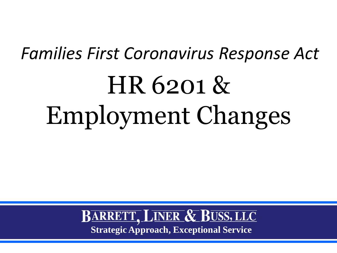# HR 6201 & Employment Changes *Families First Coronavirus Response Act*

BARRETT, LINER & BUSS, LLC **Strategic Approach, Exceptional Service**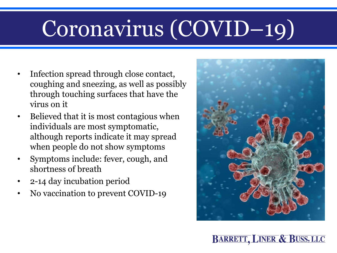## Coronavirus (COVID–19)

- Infection spread through close contact, coughing and sneezing, as well as possibly through touching surfaces that have the virus on it
- Believed that it is most contagious when individuals are most symptomatic, although reports indicate it may spread when people do not show symptoms
- Symptoms include: fever, cough, and shortness of breath
- 2-14 day incubation period
- No vaccination to prevent COVID-19

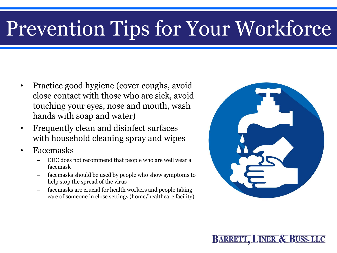### Prevention Tips for Your Workforce

- Practice good hygiene (cover coughs, avoid close contact with those who are sick, avoid touching your eyes, nose and mouth, wash hands with soap and water)
- Frequently clean and disinfect surfaces with household cleaning spray and wipes
- Facemasks
	- CDC does not recommend that people who are well wear a facemask
	- facemasks should be used by people who show symptoms to help stop the spread of the virus
	- facemasks are crucial for health workers and people taking care of someone in close settings (home/healthcare facility)

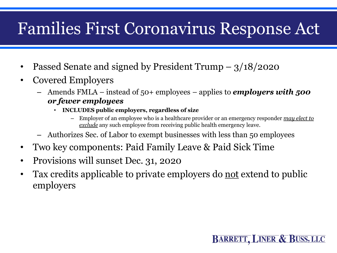#### Families First Coronavirus Response Act

- Passed Senate and signed by President Trump 3/18/2020
- Covered Employers
	- Amends FMLA instead of 50+ employees applies to *employers with 500 or fewer employees* 
		- **INCLUDES public employers, regardless of size**
			- Employer of an employee who is a healthcare provider or an emergency responder *may elect to exclude* any such employee from receiving public health emergency leave.

- Authorizes Sec. of Labor to exempt businesses with less than 50 employees
- Two key components: Paid Family Leave & Paid Sick Time
- Provisions will sunset Dec. 31, 2020
- Tax credits applicable to private employers do <u>not</u> extend to public employers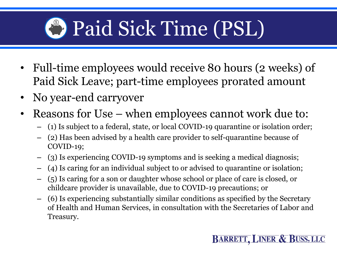## **B** Paid Sick Time (PSL)

- Full-time employees would receive 80 hours (2 weeks) of Paid Sick Leave; part-time employees prorated amount
- No year-end carryover
- Reasons for Use when employees cannot work due to:
	- (1) Is subject to a federal, state, or local COVID-19 quarantine or isolation order;
	- (2) Has been advised by a health care provider to self-quarantine because of COVID-19;
	- (3) Is experiencing COVID-19 symptoms and is seeking a medical diagnosis;
	- (4) Is caring for an individual subject to or advised to quarantine or isolation;
	- (5) Is caring for a son or daughter whose school or place of care is closed, or childcare provider is unavailable, due to COVID-19 precautions; or
	- (6) Is experiencing substantially similar conditions as specified by the Secretary of Health and Human Services, in consultation with the Secretaries of Labor and Treasury.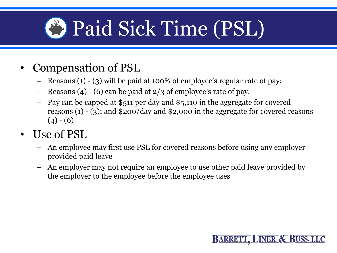## **D** Paid Sick Time (PSL)

- Compensation of PSL
	- Reasons (1) (3) will be paid at 100% of employee's regular rate of pay;
	- Reasons (4) (6) can be paid at 2/3 of employee's rate of pay.
	- Pay can be capped at \$511 per day and \$5,110 in the aggregate for covered reasons (1) - (3); and \$200/day and \$2,000 in the aggregate for covered reasons  $(4) - (6)$
- Use of PSL
	- An employee may first use PSL for covered reasons before using any employer provided paid leave
	- An employer may not require an employee to use other paid leave provided by the employer to the employee before the employee uses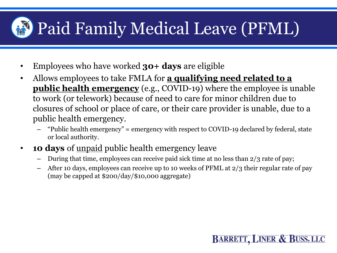#### Paid Family Medical Leave (PFML)

- Employees who have worked **30+ days** are eligible
- Allows employees to take FMLA for **a qualifying need related to a public health emergency** (e.g., COVID-19) where the employee is unable to work (or telework) because of need to care for minor children due to closures of school or place of care, or their care provider is unable, due to a public health emergency.
	- "Public health emergency" = emergency with respect to COVID-19 declared by federal, state or local authority.
- **10 days** of <u>unpaid</u> public health emergency leave
	- During that time, employees can receive paid sick time at no less than 2/3 rate of pay;
	- After 10 days, employees can receive up to 10 weeks of PFML at 2/3 their regular rate of pay (may be capped at \$200/day/\$10,000 aggregate)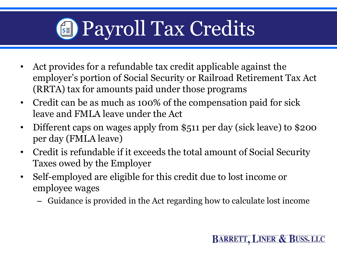

- Act provides for a refundable tax credit applicable against the employer's portion of Social Security or Railroad Retirement Tax Act (RRTA) tax for amounts paid under those programs
- Credit can be as much as 100% of the compensation paid for sick leave and FMLA leave under the Act
- Different caps on wages apply from \$511 per day (sick leave) to \$200 per day (FMLA leave)
- Credit is refundable if it exceeds the total amount of Social Security Taxes owed by the Employer
- Self-employed are eligible for this credit due to lost income or employee wages
	- Guidance is provided in the Act regarding how to calculate lost income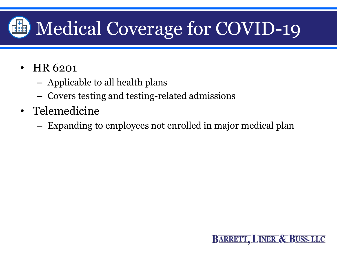#### Medical Coverage for COVID-19四曲图

- HR 6201
	- Applicable to all health plans
	- Covers testing and testing-related admissions
- Telemedicine
	- Expanding to employees not enrolled in major medical plan

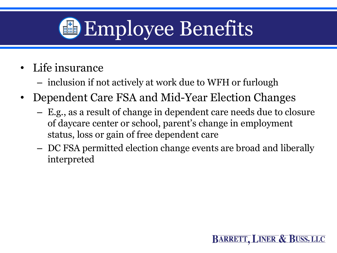

- Life insurance
	- inclusion if not actively at work due to WFH or furlough
- Dependent Care FSA and Mid-Year Election Changes
	- E.g., as a result of change in dependent care needs due to closure of daycare center or school, parent's change in employment status, loss or gain of free dependent care
	- DC FSA permitted election change events are broad and liberally interpreted

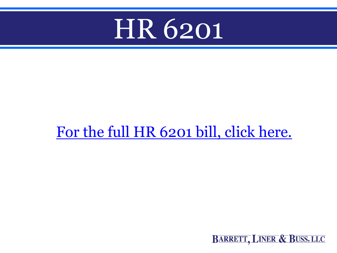

#### [For the full HR 6201 bill, click here.](https://docs.house.gov/billsthisweek/20200309/BILLS-116hr6201-SUS.pdf)